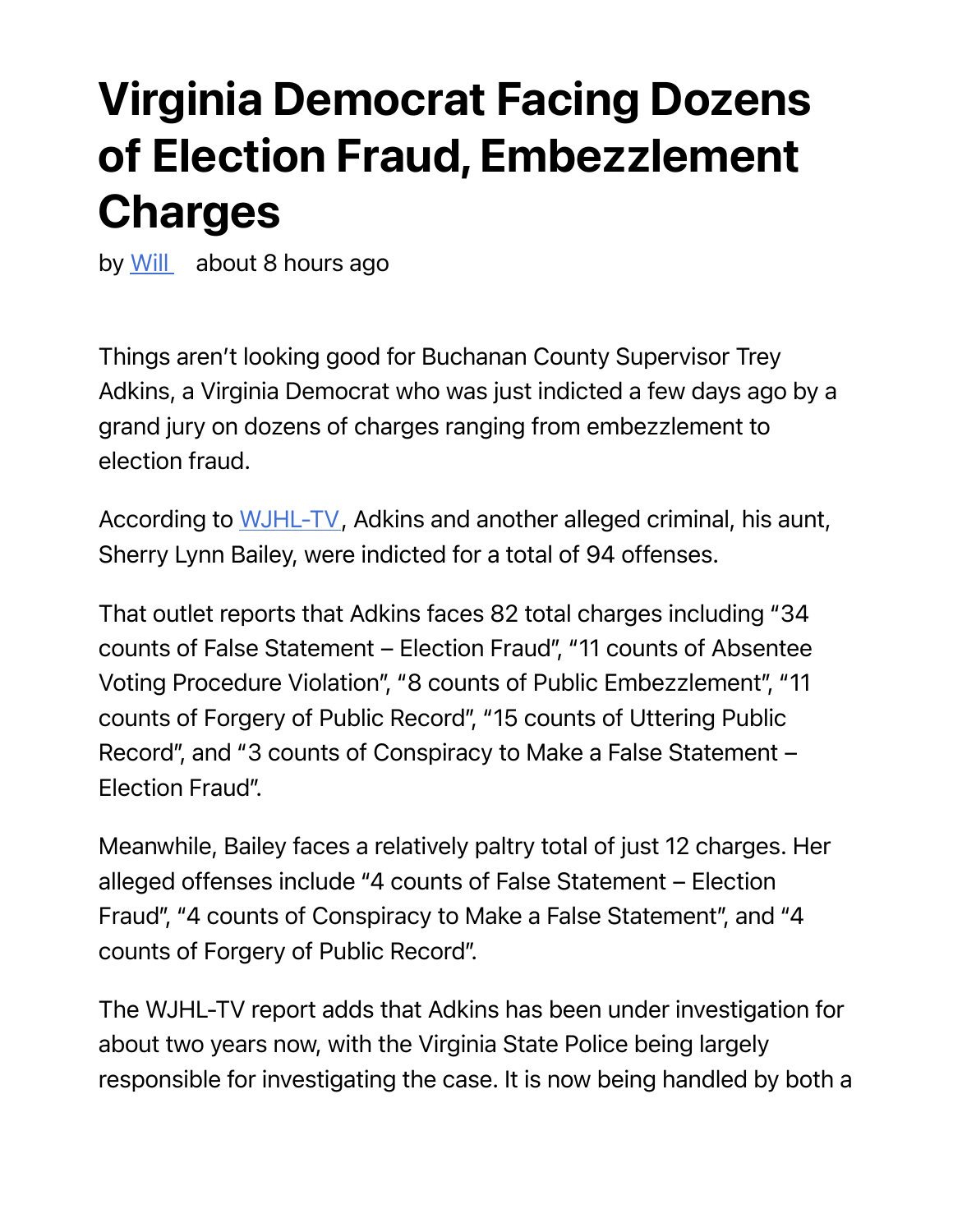## Virginia Democrat Facing Dozens of Election Fraud, Embezzlement Charges

by Will about 8 hours ago

Things aren't looking good for Buchanan County Supervisor Trey Adkins, a Virginia Democrat who was just indicted a few days ago by a grand jury on dozens of charges ranging from embezzlement to election fraud.

According to WJHL-TV, Adkins and another alleged criminal, his aunt, Sherry Lynn Bailey, were indicted for a total of 94 offenses.

That outlet reports that Adkins faces 82 total charges including "34 counts of False Statement – Election Fraud", "11 counts of Absentee Voting Procedure Violation", "8 counts of Public Embezzlement", "11 counts of Forgery of Public Record", "15 counts of Uttering Public Record", and "3 counts of Conspiracy to Make a False Statement – Election Fraud".

Meanwhile, Bailey faces a relatively paltry total of just 12 charges. Her alleged offenses include "4 counts of False Statement – Election Fraud", "4 counts of Conspiracy to Make a False Statement", and "4 counts of Forgery of Public Record".

The WJHL-TV report adds that Adkins has been under investigation for about two years now, with the Virginia State Police being largely responsible for investigating the case. It is now being handled by both a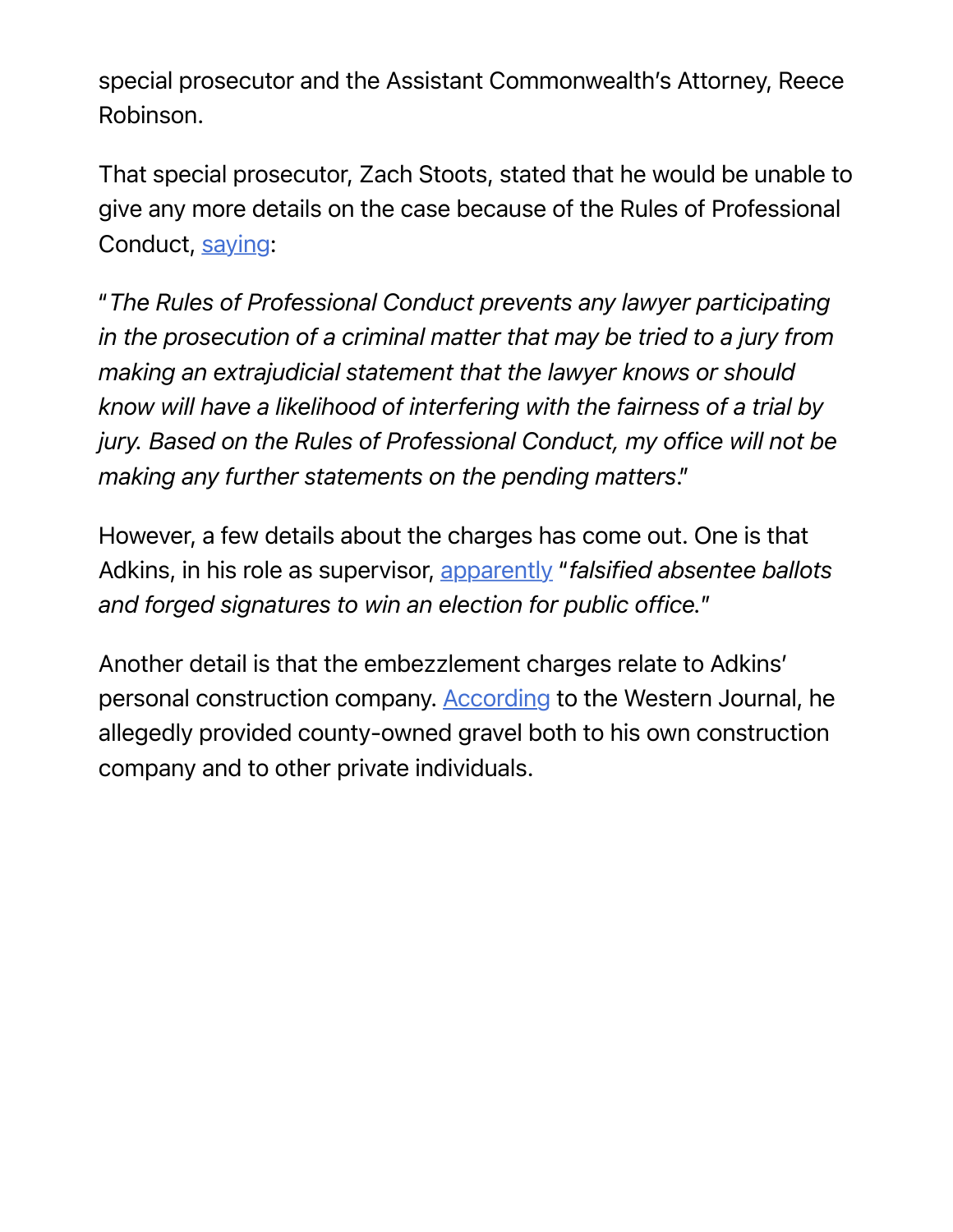special prosecutor and the Assistant Commonwealth's Attorney, Reece Robinson.

That special prosecutor, Zach Stoots, stated that he would be unable to give any more details on the case because of the Rules of Professional Conduct, saying:

"*The Rules of Professional Conduct prevents any lawyer participating in the prosecution of a criminal matter that may be tried to a jury from making an extrajudicial statement that the lawyer knows or should know will have a likelihood of interfering with the fairness of a trial by jury. Based on the Rules of Professional Conduct, my office will not be making any further statements on the pending matters*."

However, a few details about the charges has come out. One is that Adkins, in his role as supervisor, apparently "*falsified absentee ballots and forged signatures to win an election for public office.*"

Another detail is that the embezzlement charges relate to Adkins' personal construction company. According to the Western Journal, he allegedly provided county-owned gravel both to his own construction company and to other private individuals.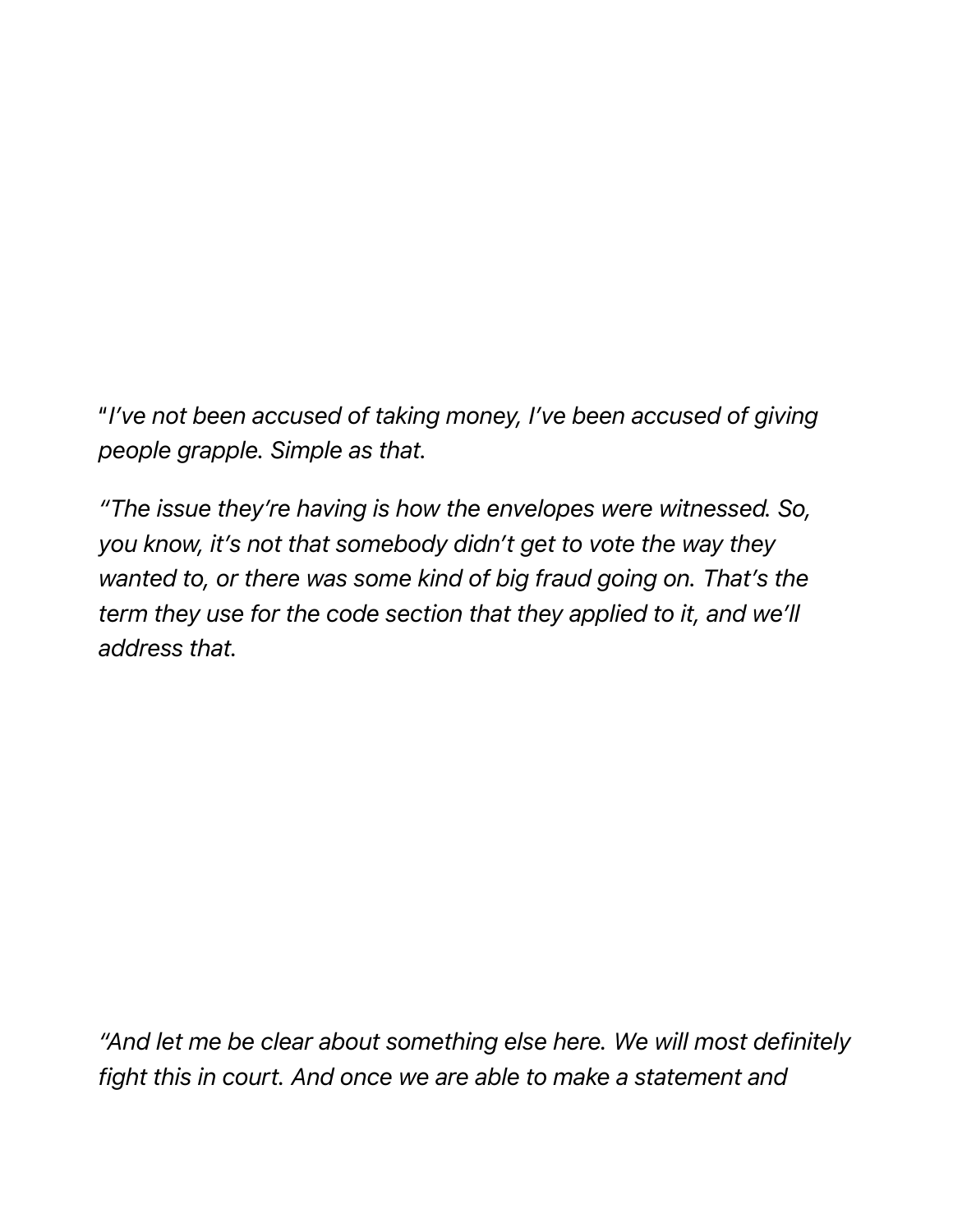"*I've not been accused of taking money, I've been accused of giving people grapple. Simple as that.* 

*"The issue they're having is how the envelopes were witnessed. So, you know, it's not that somebody didn't get to vote the way they wanted to, or there was some kind of big fraud going on. That's the term they use for the code section that they applied to it, and we'll address that.*

*"And let me be clear about something else here. We will most definitely fight this in court. And once we are able to make a statement and*